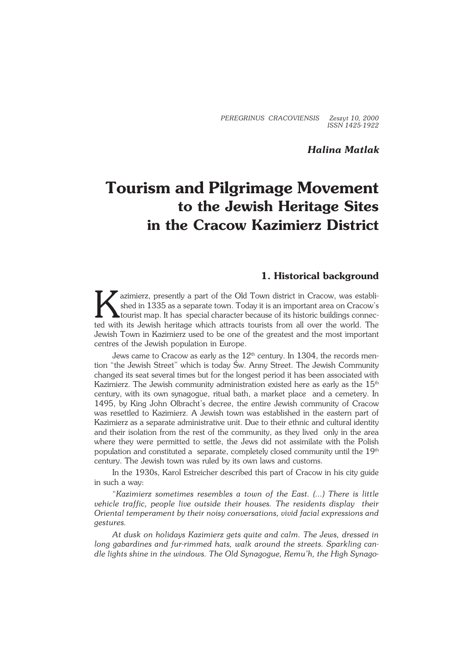*PEREGRINUS CRACOVIENSIS Zeszyt 10, 2000 ISSN 1425−1922*

## *Halina Matlak*

# **Tourism and Pilgrimage Movement to the Jewish Heritage Sites in the Cracow Kazimierz District**

## **1. Historical background**

K azimierz, presently a part of the Old Town district in Cracow, was establi− shed in 1335 as a separate town. Today it is an important area on Cracow's tourist map. It has special character because of its historic buildings connec− ted with its Jewish heritage which attracts tourists from all over the world. The Jewish Town in Kazimierz used to be one of the greatest and the most important centres of the Jewish population in Europe.

Jews came to Cracow as early as the 12<sup>th</sup> century. In 1304, the records mention "the Jewish Street" which is today Św. Anny Street. The Jewish Community changed its seat several times but for the longest period it has been associated with Kazimierz. The Jewish community administration existed here as early as the  $15<sup>th</sup>$ century, with its own synagogue, ritual bath, a market place and a cemetery. In 1495, by King John Olbracht's decree, the entire Jewish community of Cracow was resettled to Kazimierz. A Jewish town was established in the eastern part of Kazimierz as a separate administrative unit. Due to their ethnic and cultural identity and their isolation from the rest of the community, as they lived only in the area where they were permitted to settle, the Jews did not assimilate with the Polish population and constituted a separate, completely closed community until the  $19<sup>th</sup>$ century. The Jewish town was ruled by its own laws and customs.

In the 1930s, Karol Estreicher described this part of Cracow in his city guide in such a way:

"*Kazimierz sometimes resembles a town of the East. (...) There is little vehicle traffic, people live outside their houses. The residents display their Oriental temperament by their noisy conversations, vivid facial expressions and gestures.*

*At dusk on holidays Kazimierz gets quite and calm. The Jews, dressed in long gabardines and fur−rimmed hats, walk around the streets. Sparkling can− dle lights shine in the windows. The Old Synagogue, Remu'h, the High Synago−*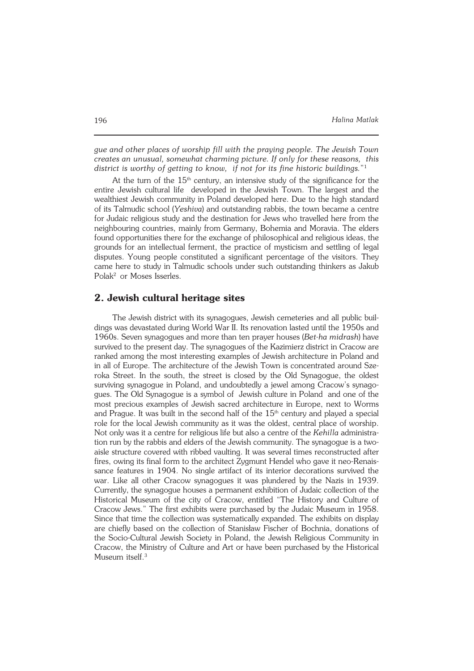*gue and other places of worship fill with the praying people. The Jewish Town creates an unusual, somewhat charming picture. If only for these reasons, this district is worthy of getting to know, if not for its fine historic buildings.*" 1

At the turn of the  $15<sup>th</sup>$  century, an intensive study of the significance for the entire Jewish cultural life developed in the Jewish Town. The largest and the wealthiest Jewish community in Poland developed here. Due to the high standard of its Talmudic school (*Yeshiva*) and outstanding rabbis, the town became a centre for Judaic religious study and the destination for Jews who travelled here from the neighbouring countries, mainly from Germany, Bohemia and Moravia. The elders found opportunities there for the exchange of philosophical and religious ideas, the grounds for an intellectual ferment, the practice of mysticism and settling of legal disputes. Young people constituted a significant percentage of the visitors. They came here to study in Talmudic schools under such outstanding thinkers as Jakub Polak<sup>2</sup> or Moses Isserles.

### **2. Jewish cultural heritage sites**

The Jewish district with its synagogues, Jewish cemeteries and all public buil− dings was devastated during World War II. Its renovation lasted until the 1950s and 1960s. Seven synagogues and more than ten prayer houses (*Bet−ha midrash*) have survived to the present day. The synagogues of the Kazimierz district in Cracow are ranked among the most interesting examples of Jewish architecture in Poland and in all of Europe. The architecture of the Jewish Town is concentrated around Sze− roka Street. In the south, the street is closed by the Old Synagogue, the oldest surviving synagogue in Poland, and undoubtedly a jewel among Cracow's synago− gues. The Old Synagogue is a symbol of Jewish culture in Poland and one of the most precious examples of Jewish sacred architecture in Europe, next to Worms and Prague. It was built in the second half of the 15<sup>th</sup> century and played a special role for the local Jewish community as it was the oldest, central place of worship. Not only was it a centre for religious life but also a centre of the *Kehilla* administra− tion run by the rabbis and elders of the Jewish community. The synagogue is a two− aisle structure covered with ribbed vaulting. It was several times reconstructed after fires, owing its final form to the architect Zygmunt Hendel who gave it neo-Renaissance features in 1904. No single artifact of its interior decorations survived the war. Like all other Cracow synagogues it was plundered by the Nazis in 1939. Currently, the synagogue houses a permanent exhibition of Judaic collection of the Historical Museum of the city of Cracow, entitled "The History and Culture of Cracow Jews." The first exhibits were purchased by the Judaic Museum in 1958. Since that time the collection was systematically expanded. The exhibits on display are chiefly based on the collection of Stanisław Fischer of Bochnia, donations of the Socio−Cultural Jewish Society in Poland, the Jewish Religious Community in Cracow, the Ministry of Culture and Art or have been purchased by the Historical Museum itself.<sup>3</sup>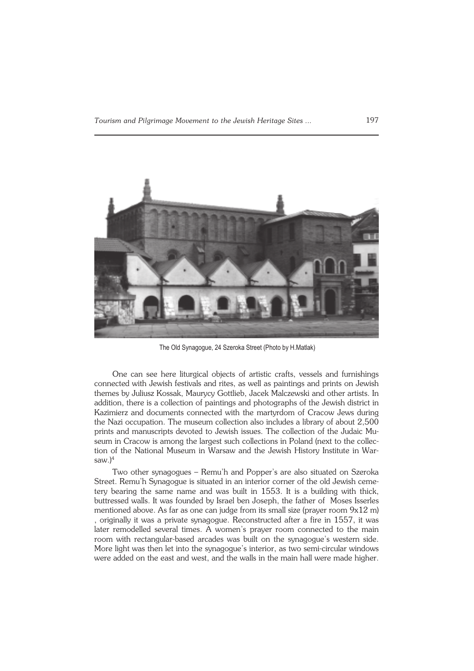

The Old Synagogue, 24 Szeroka Street (Photo by H.Matlak)

One can see here liturgical objects of artistic crafts, vessels and furnishings connected with Jewish festivals and rites, as well as paintings and prints on Jewish themes by Juliusz Kossak, Maurycy Gottlieb, Jacek Malczewski and other artists. In addition, there is a collection of paintings and photographs of the Jewish district in Kazimierz and documents connected with the martyrdom of Cracow Jews during the Nazi occupation. The museum collection also includes a library of about 2,500 prints and manuscripts devoted to Jewish issues. The collection of the Judaic Mu− seum in Cracow is among the largest such collections in Poland (next to the collection of the National Museum in Warsaw and the Jewish History Institute in War− saw. $)^4$ 

Two other synagogues – Remu'h and Popper's are also situated on Szeroka Street. Remu'h Synagogue is situated in an interior corner of the old Jewish ceme− tery bearing the same name and was built in 1553. It is a building with thick, buttressed walls. It was founded by Israel ben Joseph, the father of Moses Isserles mentioned above. As far as one can judge from its small size (prayer room 9x12 m) , originally it was a private synagogue. Reconstructed after a fire in 1557, it was later remodelled several times. A women's prayer room connected to the main room with rectangular−based arcades was built on the synagogue's western side. More light was then let into the synagogue's interior, as two semi−circular windows were added on the east and west, and the walls in the main hall were made higher.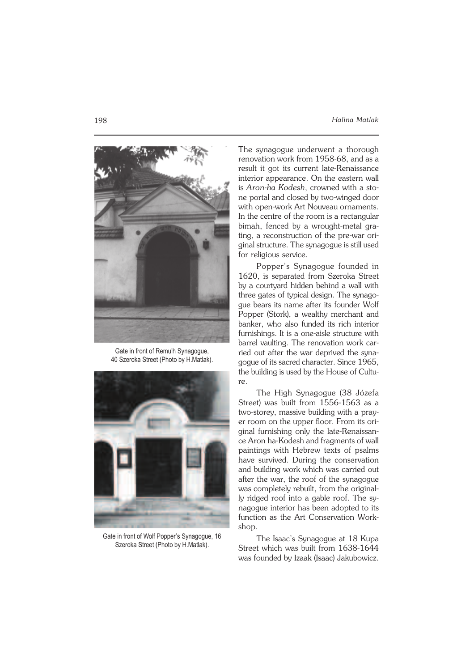

Gate in front of Remu'h Synagogue, 40 Szeroka Street (Photo by H.Matlak).



Gate in front of Wolf Popper's Synagogue, 16 Szeroka Street (Photo by H.Matlak).

The synagogue underwent a thorough renovation work from 1958−68, and as a result it got its current late−Renaissance interior appearance. On the eastern wall is *Aron−ha Kodesh*, crowned with a sto− ne portal and closed by two−winged door with open−work Art Nouveau ornaments. In the centre of the room is a rectangular bimah, fenced by a wrought−metal gra− ting, a reconstruction of the pre−war ori− ginal structure. The synagogue is still used for religious service.

Popper's Synagogue founded in 1620, is separated from Szeroka Street by a courtyard hidden behind a wall with three gates of typical design. The synago− gue bears its name after its founder Wolf Popper (Stork), a wealthy merchant and banker, who also funded its rich interior furnishings. It is a one−aisle structure with barrel vaulting. The renovation work car− ried out after the war deprived the syna− gogue of its sacred character. Since 1965, the building is used by the House of Cultu− re.

The High Synagogue (38 Józefa Street) was built from 1556−1563 as a two−storey, massive building with a pray− er room on the upper floor. From its ori− ginal furnishing only the late−Renaissan− ce Aron ha−Kodesh and fragments of wall paintings with Hebrew texts of psalms have survived. During the conservation and building work which was carried out after the war, the roof of the synagogue was completely rebuilt, from the original− ly ridged roof into a gable roof. The sy− nagogue interior has been adopted to its function as the Art Conservation Workshop.

The Isaac's Synagogue at 18 Kupa Street which was built from 1638−1644 was founded by Izaak (Isaac) Jakubowicz.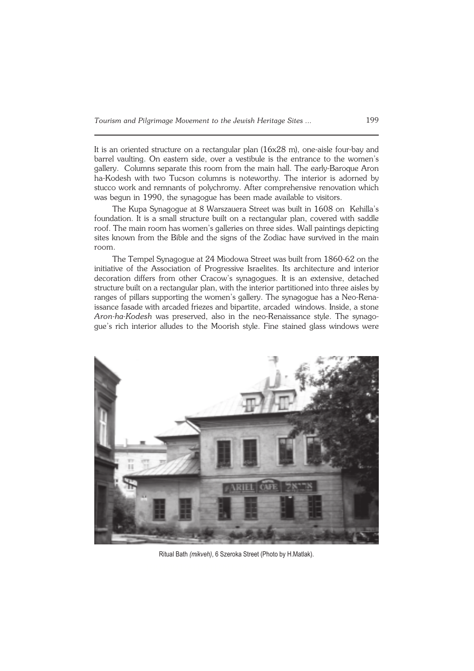It is an oriented structure on a rectangular plan (16x28 m), one−aisle four−bay and barrel vaulting. On eastern side, over a vestibule is the entrance to the women's gallery. Columns separate this room from the main hall. The early−Baroque Aron ha−Kodesh with two Tucson columns is noteworthy. The interior is adorned by stucco work and remnants of polychromy. After comprehensive renovation which was begun in 1990, the synagogue has been made available to visitors.

The Kupa Synagogue at 8 Warszauera Street was built in 1608 on Kehilla's foundation. It is a small structure built on a rectangular plan, covered with saddle roof. The main room has women's galleries on three sides. Wall paintings depicting sites known from the Bible and the signs of the Zodiac have survived in the main room.

The Tempel Synagogue at 24 Miodowa Street was built from 1860−62 on the initiative of the Association of Progressive Israelites. Its architecture and interior decoration differs from other Cracow's synagogues. It is an extensive, detached structure built on a rectangular plan, with the interior partitioned into three aisles by ranges of pillars supporting the women's gallery. The synagogue has a Neo−Rena− issance fasade with arcaded friezes and bipartite, arcaded windows. Inside, a stone *Aron−ha−Kodesh* was preserved, also in the neo−Renaissance style. The synago− gue's rich interior alludes to the Moorish style. Fine stained glass windows were



Ritual Bath *(mikveh)*, 6 Szeroka Street (Photo by H.Matlak).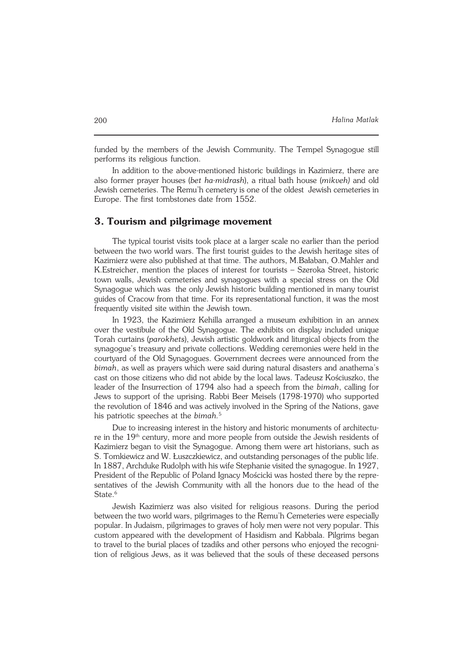funded by the members of the Jewish Community. The Tempel Synagogue still performs its religious function.

In addition to the above−mentioned historic buildings in Kazimierz, there are also former prayer houses (*bet ha−midrash*), a ritual bath house (*mikveh)* and old Jewish cemeteries. The Remu'h cemetery is one of the oldest Jewish cemeteries in Europe. The first tombstones date from 1552.

## **3. Tourism and pilgrimage movement**

The typical tourist visits took place at a larger scale no earlier than the period between the two world wars. The first tourist guides to the Jewish heritage sites of Kazimierz were also published at that time. The authors, M.Bałaban, O.Mahler and K.Estreicher, mention the places of interest for tourists – Szeroka Street, historic town walls, Jewish cemeteries and synagogues with a special stress on the Old Synagogue which was the only Jewish historic building mentioned in many tourist guides of Cracow from that time. For its representational function, it was the most frequently visited site within the Jewish town.

In 1923, the Kazimierz Kehilla arranged a museum exhibition in an annex over the vestibule of the Old Synagogue. The exhibits on display included unique Torah curtains (*parokhets*), Jewish artistic goldwork and liturgical objects from the synagogue's treasury and private collections. Wedding ceremonies were held in the courtyard of the Old Synagogues. Government decrees were announced from the *bimah*, as well as prayers which were said during natural disasters and anathema's cast on those citizens who did not abide by the local laws. Tadeusz Kościuszko, the leader of the Insurrection of 1794 also had a speech from the *bimah*, calling for Jews to support of the uprising. Rabbi Beer Meisels (1798−1970) who supported the revolution of 1846 and was actively involved in the Spring of the Nations, gave his patriotic speeches at the *bimah.*<sup>5</sup>

Due to increasing interest in the history and historic monuments of architectu− re in the 19<sup>th</sup> century, more and more people from outside the Jewish residents of Kazimierz began to visit the Synagogue. Among them were art historians, such as S. Tomkiewicz and W. Łuszczkiewicz, and outstanding personages of the public life. In 1887, Archduke Rudolph with his wife Stephanie visited the synagogue. In 1927, President of the Republic of Poland Ignacy Mościcki was hosted there by the repre− sentatives of the Jewish Community with all the honors due to the head of the State.<sup>6</sup>

Jewish Kazimierz was also visited for religious reasons. During the period between the two world wars, pilgrimages to the Remu'h Cemeteries were especially popular. In Judaism, pilgrimages to graves of holy men were not very popular. This custom appeared with the development of Hasidism and Kabbala. Pilgrims began to travel to the burial places of tzadiks and other persons who enjoyed the recogni− tion of religious Jews, as it was believed that the souls of these deceased persons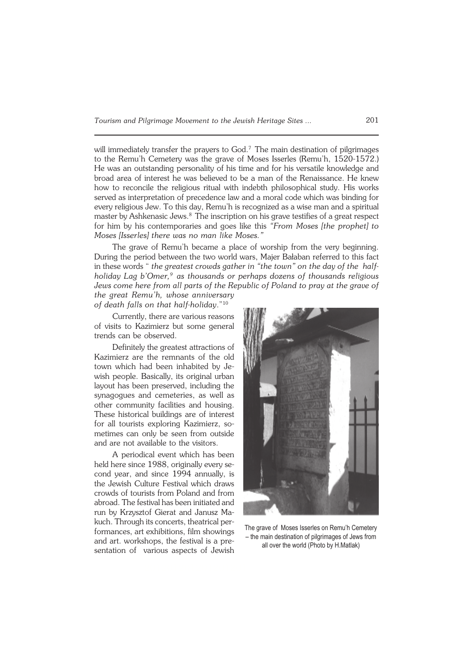will immediately transfer the prayers to God.<sup>7</sup> The main destination of pilgrimages to the Remu'h Cemetery was the grave of Moses Isserles (Remu'h, 1520−1572.) He was an outstanding personality of his time and for his versatile knowledge and broad area of interest he was believed to be a man of the Renaissance. He knew how to reconcile the religious ritual with indebth philosophical study. His works served as interpretation of precedence law and a moral code which was binding for every religious Jew. To this day, Remu'h is recognized as a wise man and a spiritual master by Ashkenasic Jews.<sup>8</sup> The inscription on his grave testifies of a great respect for him by his contemporaries and goes like this *"From Moses [the prophet] to Moses [Isserles] there was no man like Moses."*

The grave of Remu'h became a place of worship from the very beginning. During the period between the two world wars, Majer Bałaban referred to this fact in these words " *the greatest crowds gather in "the town" on the day of the half− holiday Lag b'Omer,<sup>9</sup> as thousands or perhaps dozens of thousands religious Jews come here from all parts of the Republic of Poland to pray at the grave of the great Remu'h, whose anniversary*

*of death falls on that half−holiday*."<sup>10</sup>

Currently, there are various reasons of visits to Kazimierz but some general trends can be observed.

Definitely the greatest attractions of Kazimierz are the remnants of the old town which had been inhabited by Je− wish people. Basically, its original urban layout has been preserved, including the synagogues and cemeteries, as well as other community facilities and housing. These historical buildings are of interest for all tourists exploring Kazimierz, so− metimes can only be seen from outside and are not available to the visitors.

A periodical event which has been held here since 1988, originally every se− cond year, and since 1994 annually, is the Jewish Culture Festival which draws crowds of tourists from Poland and from abroad. The festival has been initiated and run by Krzysztof Gierat and Janusz Ma− kuch. Through its concerts, theatrical per− formances, art exhibitions, film showings and art. workshops, the festival is a pre− sentation of various aspects of Jewish



The grave of Moses Isserles on Remu'h Cemetery – the main destination of pilgrimages of Jews from all over the world (Photo by H.Matlak)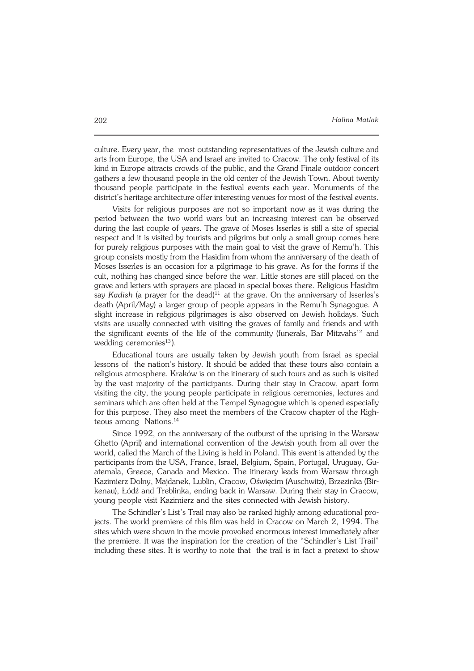culture. Every year, the most outstanding representatives of the Jewish culture and arts from Europe, the USA and Israel are invited to Cracow. The only festival of its kind in Europe attracts crowds of the public, and the Grand Finale outdoor concert gathers a few thousand people in the old center of the Jewish Town. About twenty thousand people participate in the festival events each year. Monuments of the district's heritage architecture offer interesting venues for most of the festival events.

Visits for religious purposes are not so important now as it was during the period between the two world wars but an increasing interest can be observed during the last couple of years. The grave of Moses Isserles is still a site of special respect and it is visited by tourists and pilgrims but only a small group comes here for purely religious purposes with the main goal to visit the grave of Remu'h. This group consists mostly from the Hasidim from whom the anniversary of the death of Moses Isserles is an occasion for a pilgrimage to his grave. As for the forms if the cult, nothing has changed since before the war. Little stones are still placed on the grave and letters with sprayers are placed in special boxes there. Religious Hasidim say *Kadish* (a prayer for the dead)<sup>11</sup> at the grave. On the anniversary of Isserles's death (April/May) a larger group of people appears in the Remu'h Synagogue. A slight increase in religious pilgrimages is also observed on Jewish holidays. Such visits are usually connected with visiting the graves of family and friends and with the significant events of the life of the community (funerals, Bar Mitzvahs<sup>12</sup> and wedding ceremonies $^{13}$ ).

Educational tours are usually taken by Jewish youth from Israel as special lessons of the nation's history. It should be added that these tours also contain a religious atmosphere. Kraków is on the itinerary of such tours and as such is visited by the vast majority of the participants. During their stay in Cracow, apart form visiting the city, the young people participate in religious ceremonies, lectures and seminars which are often held at the Tempel Synagogue which is opened especially for this purpose. They also meet the members of the Cracow chapter of the Righ− teous among Nations.<sup>14</sup>

Since 1992, on the anniversary of the outburst of the uprising in the Warsaw Ghetto (April) and international convention of the Jewish youth from all over the world, called the March of the Living is held in Poland. This event is attended by the participants from the USA, France, Israel, Belgium, Spain, Portugal, Uruguay, Gu− atemala, Greece, Canada and Mexico. The itinerary leads from Warsaw through Kazimierz Dolny, Majdanek, Lublin, Cracow, Oświęcim (Auschwitz), Brzezinka (Bir− kenau), Łódź and Treblinka, ending back in Warsaw. During their stay in Cracow, young people visit Kazimierz and the sites connected with Jewish history.

The Schindler's List's Trail may also be ranked highly among educational pro− jects. The world premiere of this film was held in Cracow on March 2, 1994. The sites which were shown in the movie provoked enormous interest immediately after the premiere. It was the inspiration for the creation of the "Schindler's List Trail" including these sites. It is worthy to note that the trail is in fact a pretext to show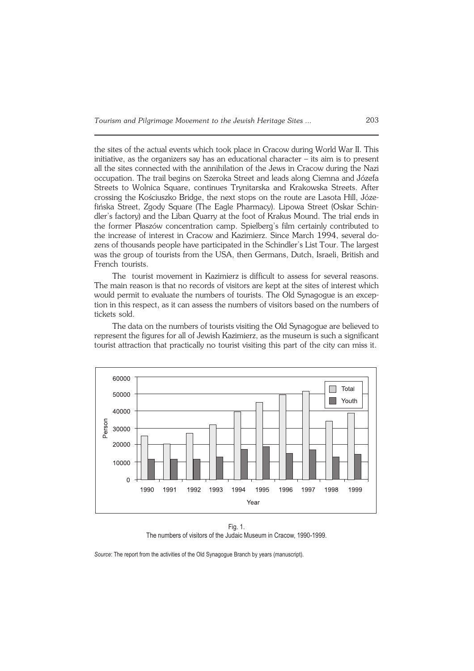the sites of the actual events which took place in Cracow during World War II. This initiative, as the organizers say has an educational character – its aim is to present all the sites connected with the annihilation of the Jews in Cracow during the Nazi occupation. The trail begins on Szeroka Street and leads along Ciemna and Józefa Streets to Wolnica Square, continues Trynitarska and Krakowska Streets. After crossing the Kościuszko Bridge, the next stops on the route are Lasota Hill, Józe− fińska Street, Zgody Square (The Eagle Pharmacy). Lipowa Street (Oskar Schin− dler's factory) and the Liban Quarry at the foot of Krakus Mound. The trial ends in the former Płaszów concentration camp. Spielberg's film certainly contributed to the increase of interest in Cracow and Kazimierz. Since March 1994, several do− zens of thousands people have participated in the Schindler's List Tour. The largest was the group of tourists from the USA, then Germans, Dutch, Israeli, British and French tourists.

The tourist movement in Kazimierz is difficult to assess for several reasons. The main reason is that no records of visitors are kept at the sites of interest which would permit to evaluate the numbers of tourists. The Old Synagogue is an excep− tion in this respect, as it can assess the numbers of visitors based on the numbers of tickets sold.

The data on the numbers of tourists visiting the Old Synagogue are believed to represent the figures for all of Jewish Kazimierz, as the museum is such a significant tourist attraction that practically no tourist visiting this part of the city can miss it.



Fig. 1. The numbers of visitors of the Judaic Museum in Cracow, 1990-1999.

*Source*: The report from the activities of the Old Synagogue Branch by years (manuscript).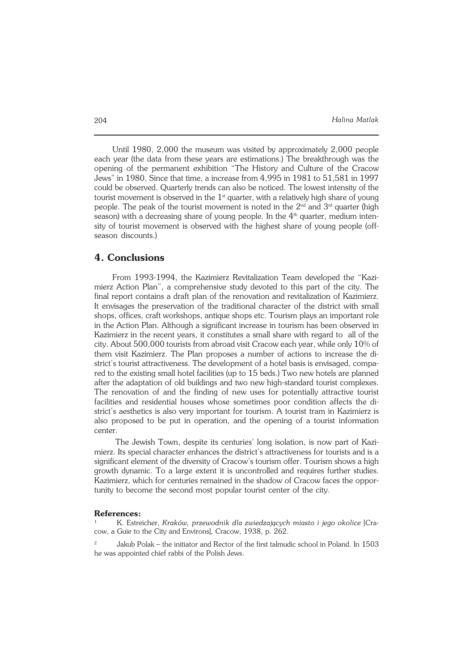Until 1980, 2,000 the museum was visited by approximately 2,000 people each year (the data from these years are estimations.) The breakthrough was the opening of the permanent exhibition "The History and Culture of the Cracow Jews" in 1980. Since that time, a increase from 4,995 in 1981 to 51,581 in 1997 could be observed. Quarterly trends can also be noticed. The lowest intensity of the tourist movement is observed in the  $1<sup>st</sup>$  quarter, with a relatively high share of young people. The peak of the tourist movement is noted in the  $2<sup>nd</sup>$  and  $3<sup>rd</sup>$  quarter (high season) with a decreasing share of young people. In the  $4<sup>th</sup>$  quarter, medium inten− sity of tourist movement is observed with the highest share of young people (off− season discounts.)

## **4. Conclusions**

From 1993-1994, the Kazimierz Revitalization Team developed the "Kazimierz Action Plan", a comprehensive study devoted to this part of the city. The final report contains a draft plan of the renovation and revitalization of Kazimierz. It envisages the preservation of the traditional character of the district with small shops, offices, craft workshops, antique shops etc. Tourism plays an important role in the Action Plan. Although a significant increase in tourism has been observed in Kazimierz in the recent years, it constitutes a small share with regard to all of the city. About 500,000 tourists from abroad visit Cracow each year, while only 10% of them visit Kazimierz. The Plan proposes a number of actions to increase the di− strict's tourist attractiveness. The development of a hotel basis is envisaged, compa− red to the existing small hotel facilities (up to 15 beds.) Two new hotels are planned after the adaptation of old buildings and two new high−standard tourist complexes. The renovation of and the finding of new uses for potentially attractive tourist facilities and residential houses whose sometimes poor condition affects the di− strict's aesthetics is also very important for tourism. A tourist tram in Kazimierz is also proposed to be put in operation, and the opening of a tourist information center.

 The Jewish Town, despite its centuries' long isolation, is now part of Kazi− mierz. Its special character enhances the district's attractiveness for tourists and is a significant element of the diversity of Cracow's tourism offer. Tourism shows a high growth dynamic. To a large extent it is uncontrolled and requires further studies. Kazimierz, which for centuries remained in the shadow of Cracow faces the oppor− tunity to become the second most popular tourist center of the city.

#### **References:**

<sup>1</sup> K. Estreicher, *Kraków, przewodnik dla zwiedzających miasto i jego okolice* [Cra− cow, a Guie to the City and Environs]*,* Cracow, 1938, p. 262.

<sup>2</sup> Jakub Polak – the initiator and Rector of the first talmudic school in Poland. In 1503 he was appointed chief rabbi of the Polish Jews.